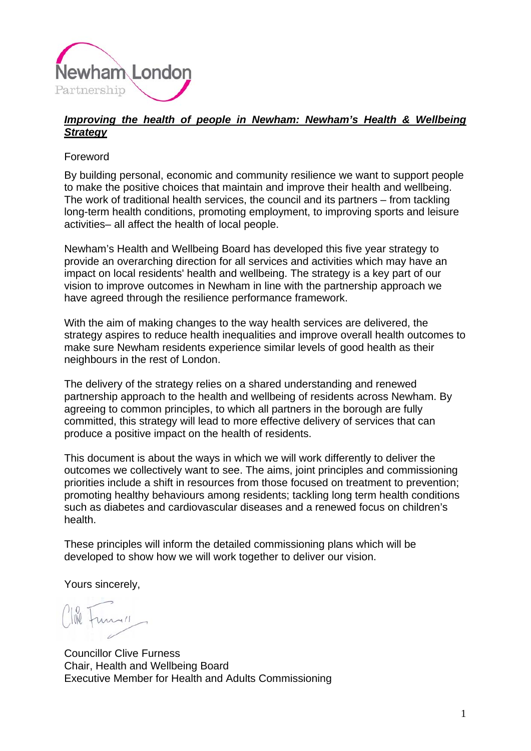

## *Improving the health of people in Newham: Newham's Health & Wellbeing Strategy*

## Foreword

By building personal, economic and community resilience we want to support people to make the positive choices that maintain and improve their health and wellbeing. The work of traditional health services, the council and its partners – from tackling long-term health conditions, promoting employment, to improving sports and leisure activities– all affect the health of local people.

Newham's Health and Wellbeing Board has developed this five year strategy to provide an overarching direction for all services and activities which may have an impact on local residents' health and wellbeing. The strategy is a key part of our vision to improve outcomes in Newham in line with the partnership approach we have agreed through the resilience performance framework.

With the aim of making changes to the way health services are delivered, the strategy aspires to reduce health inequalities and improve overall health outcomes to make sure Newham residents experience similar levels of good health as their neighbours in the rest of London.

The delivery of the strategy relies on a shared understanding and renewed partnership approach to the health and wellbeing of residents across Newham. By agreeing to common principles, to which all partners in the borough are fully committed, this strategy will lead to more effective delivery of services that can produce a positive impact on the health of residents.

This document is about the ways in which we will work differently to deliver the outcomes we collectively want to see. The aims, joint principles and commissioning priorities include a shift in resources from those focused on treatment to prevention; promoting healthy behaviours among residents; tackling long term health conditions such as diabetes and cardiovascular diseases and a renewed focus on children's health.

These principles will inform the detailed commissioning plans which will be developed to show how we will work together to deliver our vision.

Yours sincerely,

Councillor Clive Furness Chair, Health and Wellbeing Board Executive Member for Health and Adults Commissioning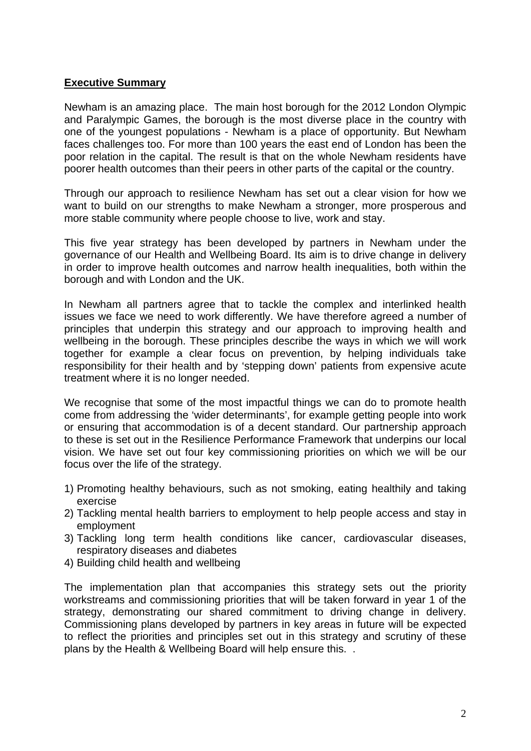#### **Executive Summary**

Newham is an amazing place. The main host borough for the 2012 London Olympic and Paralympic Games, the borough is the most diverse place in the country with one of the youngest populations - Newham is a place of opportunity. But Newham faces challenges too. For more than 100 years the east end of London has been the poor relation in the capital. The result is that on the whole Newham residents have poorer health outcomes than their peers in other parts of the capital or the country.

Through our approach to resilience Newham has set out a clear vision for how we want to build on our strengths to make Newham a stronger, more prosperous and more stable community where people choose to live, work and stay.

This five year strategy has been developed by partners in Newham under the governance of our Health and Wellbeing Board. Its aim is to drive change in delivery in order to improve health outcomes and narrow health inequalities, both within the borough and with London and the UK.

In Newham all partners agree that to tackle the complex and interlinked health issues we face we need to work differently. We have therefore agreed a number of principles that underpin this strategy and our approach to improving health and wellbeing in the borough. These principles describe the ways in which we will work together for example a clear focus on prevention, by helping individuals take responsibility for their health and by 'stepping down' patients from expensive acute treatment where it is no longer needed.

We recognise that some of the most impactful things we can do to promote health come from addressing the 'wider determinants', for example getting people into work or ensuring that accommodation is of a decent standard. Our partnership approach to these is set out in the Resilience Performance Framework that underpins our local vision. We have set out four key commissioning priorities on which we will be our focus over the life of the strategy.

- 1) Promoting healthy behaviours, such as not smoking, eating healthily and taking exercise
- 2) Tackling mental health barriers to employment to help people access and stay in employment
- 3) Tackling long term health conditions like cancer, cardiovascular diseases, respiratory diseases and diabetes
- 4) Building child health and wellbeing

The implementation plan that accompanies this strategy sets out the priority workstreams and commissioning priorities that will be taken forward in year 1 of the strategy, demonstrating our shared commitment to driving change in delivery. Commissioning plans developed by partners in key areas in future will be expected to reflect the priorities and principles set out in this strategy and scrutiny of these plans by the Health & Wellbeing Board will help ensure this. .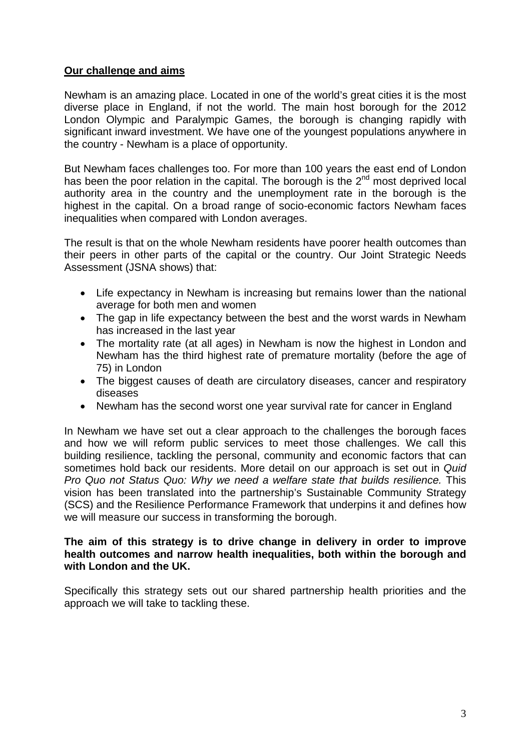## **Our challenge and aims**

Newham is an amazing place. Located in one of the world's great cities it is the most diverse place in England, if not the world. The main host borough for the 2012 London Olympic and Paralympic Games, the borough is changing rapidly with significant inward investment. We have one of the youngest populations anywhere in the country - Newham is a place of opportunity.

But Newham faces challenges too. For more than 100 years the east end of London has been the poor relation in the capital. The borough is the  $2<sup>nd</sup>$  most deprived local authority area in the country and the unemployment rate in the borough is the highest in the capital. On a broad range of socio-economic factors Newham faces inequalities when compared with London averages.

The result is that on the whole Newham residents have poorer health outcomes than their peers in other parts of the capital or the country. Our Joint Strategic Needs Assessment (JSNA shows) that:

- Life expectancy in Newham is increasing but remains lower than the national average for both men and women
- The gap in life expectancy between the best and the worst wards in Newham has increased in the last year
- The mortality rate (at all ages) in Newham is now the highest in London and Newham has the third highest rate of premature mortality (before the age of 75) in London
- The biggest causes of death are circulatory diseases, cancer and respiratory diseases
- Newham has the second worst one year survival rate for cancer in England

In Newham we have set out a clear approach to the challenges the borough faces and how we will reform public services to meet those challenges. We call this building resilience, tackling the personal, community and economic factors that can sometimes hold back our residents. More detail on our approach is set out in *Quid Pro Quo not Status Quo: Why we need a welfare state that builds resilience.* This vision has been translated into the partnership's Sustainable Community Strategy (SCS) and the Resilience Performance Framework that underpins it and defines how we will measure our success in transforming the borough.

#### **The aim of this strategy is to drive change in delivery in order to improve health outcomes and narrow health inequalities, both within the borough and with London and the UK.**

Specifically this strategy sets out our shared partnership health priorities and the approach we will take to tackling these.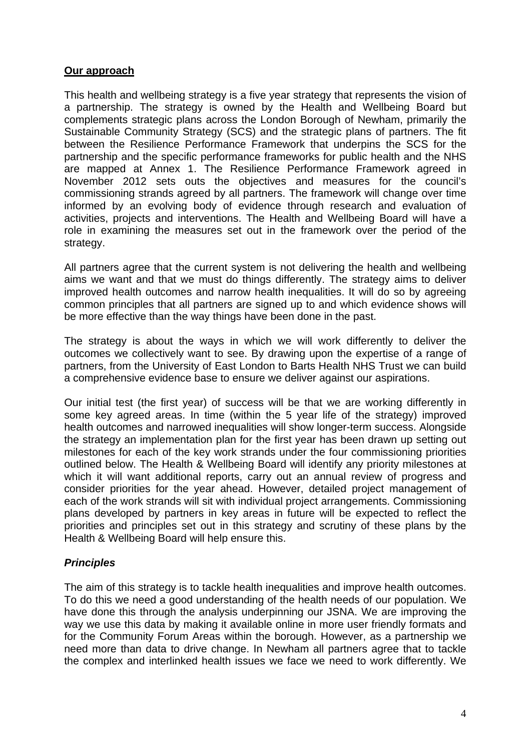## **Our approach**

This health and wellbeing strategy is a five year strategy that represents the vision of a partnership. The strategy is owned by the Health and Wellbeing Board but complements strategic plans across the London Borough of Newham, primarily the Sustainable Community Strategy (SCS) and the strategic plans of partners. The fit between the Resilience Performance Framework that underpins the SCS for the partnership and the specific performance frameworks for public health and the NHS are mapped at Annex 1. The Resilience Performance Framework agreed in November 2012 sets outs the objectives and measures for the council's commissioning strands agreed by all partners. The framework will change over time informed by an evolving body of evidence through research and evaluation of activities, projects and interventions. The Health and Wellbeing Board will have a role in examining the measures set out in the framework over the period of the strategy.

All partners agree that the current system is not delivering the health and wellbeing aims we want and that we must do things differently. The strategy aims to deliver improved health outcomes and narrow health inequalities. It will do so by agreeing common principles that all partners are signed up to and which evidence shows will be more effective than the way things have been done in the past.

The strategy is about the ways in which we will work differently to deliver the outcomes we collectively want to see. By drawing upon the expertise of a range of partners, from the University of East London to Barts Health NHS Trust we can build a comprehensive evidence base to ensure we deliver against our aspirations.

Our initial test (the first year) of success will be that we are working differently in some key agreed areas. In time (within the 5 year life of the strategy) improved health outcomes and narrowed inequalities will show longer-term success. Alongside the strategy an implementation plan for the first year has been drawn up setting out milestones for each of the key work strands under the four commissioning priorities outlined below. The Health & Wellbeing Board will identify any priority milestones at which it will want additional reports, carry out an annual review of progress and consider priorities for the year ahead. However, detailed project management of each of the work strands will sit with individual project arrangements. Commissioning plans developed by partners in key areas in future will be expected to reflect the priorities and principles set out in this strategy and scrutiny of these plans by the Health & Wellbeing Board will help ensure this.

# *Principles*

The aim of this strategy is to tackle health inequalities and improve health outcomes. To do this we need a good understanding of the health needs of our population. We have done this through the analysis underpinning our JSNA. We are improving the way we use this data by making it available online in more user friendly formats and for the Community Forum Areas within the borough. However, as a partnership we need more than data to drive change. In Newham all partners agree that to tackle the complex and interlinked health issues we face we need to work differently. We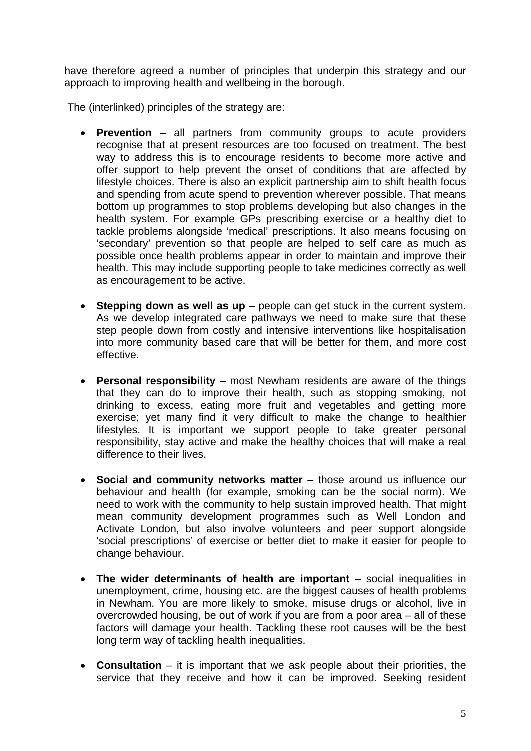have therefore agreed a number of principles that underpin this strategy and our approach to improving health and wellbeing in the borough.

The (interlinked) principles of the strategy are:

- **Prevention**  all partners from community groups to acute providers recognise that at present resources are too focused on treatment. The best way to address this is to encourage residents to become more active and offer support to help prevent the onset of conditions that are affected by lifestyle choices. There is also an explicit partnership aim to shift health focus and spending from acute spend to prevention wherever possible. That means bottom up programmes to stop problems developing but also changes in the health system. For example GPs prescribing exercise or a healthy diet to tackle problems alongside 'medical' prescriptions. It also means focusing on 'secondary' prevention so that people are helped to self care as much as possible once health problems appear in order to maintain and improve their health. This may include supporting people to take medicines correctly as well as encouragement to be active.
- **Stepping down as well as up** people can get stuck in the current system. As we develop integrated care pathways we need to make sure that these step people down from costly and intensive interventions like hospitalisation into more community based care that will be better for them, and more cost effective.
- **Personal responsibility** most Newham residents are aware of the things that they can do to improve their health, such as stopping smoking, not drinking to excess, eating more fruit and vegetables and getting more exercise; yet many find it very difficult to make the change to healthier lifestyles. It is important we support people to take greater personal responsibility, stay active and make the healthy choices that will make a real difference to their lives.
- **Social and community networks matter** those around us influence our behaviour and health (for example, smoking can be the social norm). We need to work with the community to help sustain improved health. That might mean community development programmes such as Well London and Activate London, but also involve volunteers and peer support alongside 'social prescriptions' of exercise or better diet to make it easier for people to change behaviour.
- **The wider determinants of health are important** social inequalities in unemployment, crime, housing etc. are the biggest causes of health problems in Newham. You are more likely to smoke, misuse drugs or alcohol, live in overcrowded housing, be out of work if you are from a poor area – all of these factors will damage your health. Tackling these root causes will be the best long term way of tackling health inequalities.
- **Consultation**  it is important that we ask people about their priorities, the service that they receive and how it can be improved. Seeking resident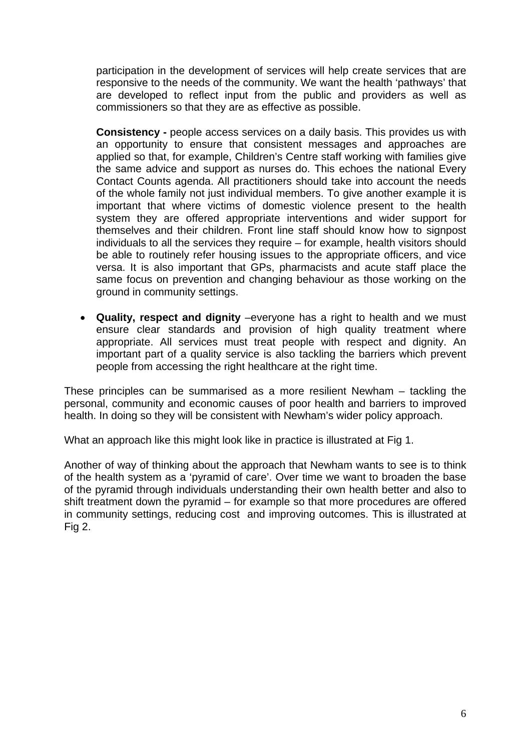participation in the development of services will help create services that are responsive to the needs of the community. We want the health 'pathways' that are developed to reflect input from the public and providers as well as commissioners so that they are as effective as possible.

**Consistency -** people access services on a daily basis. This provides us with an opportunity to ensure that consistent messages and approaches are applied so that, for example, Children's Centre staff working with families give the same advice and support as nurses do. This echoes the national Every Contact Counts agenda. All practitioners should take into account the needs of the whole family not just individual members. To give another example it is important that where victims of domestic violence present to the health system they are offered appropriate interventions and wider support for themselves and their children. Front line staff should know how to signpost individuals to all the services they require – for example, health visitors should be able to routinely refer housing issues to the appropriate officers, and vice versa. It is also important that GPs, pharmacists and acute staff place the same focus on prevention and changing behaviour as those working on the ground in community settings.

• **Quality, respect and dignity** –everyone has a right to health and we must ensure clear standards and provision of high quality treatment where appropriate. All services must treat people with respect and dignity. An important part of a quality service is also tackling the barriers which prevent people from accessing the right healthcare at the right time.

These principles can be summarised as a more resilient Newham – tackling the personal, community and economic causes of poor health and barriers to improved health. In doing so they will be consistent with Newham's wider policy approach.

What an approach like this might look like in practice is illustrated at Fig 1.

Another of way of thinking about the approach that Newham wants to see is to think of the health system as a 'pyramid of care'. Over time we want to broaden the base of the pyramid through individuals understanding their own health better and also to shift treatment down the pyramid – for example so that more procedures are offered in community settings, reducing cost and improving outcomes. This is illustrated at Fig 2.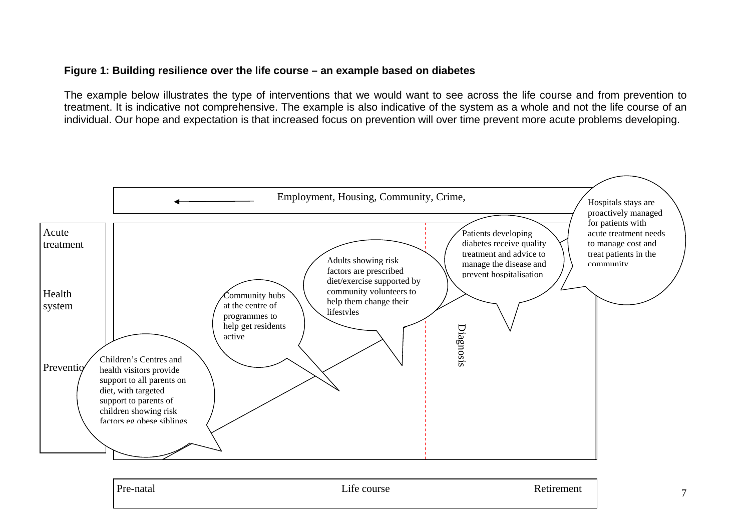#### **Figure 1: Building resilience over the life course – an example based on diabetes**

The example below illustrates the type of interventions that we would want to see across the life course and from prevention to treatment. It is indicative not comprehensive. The example is also indicative of the system as a whole and not the life course of an individual. Our hope and expectation is that increased focus on prevention will over time prevent more acute problems developing.



| Pre-<br>a-natal | <b>.</b><br>course<br>$\mathbf{L}$ | Retirement |
|-----------------|------------------------------------|------------|
|                 |                                    |            |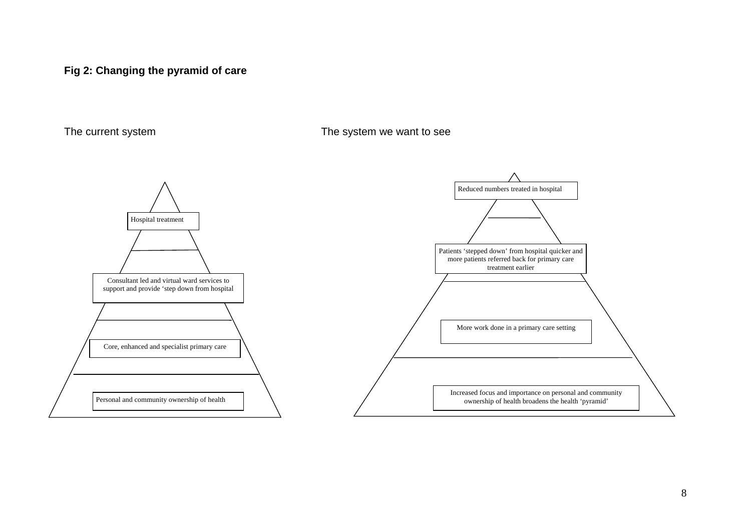## **Fig 2: Changing the pyramid of care**

The current system The system we want to see

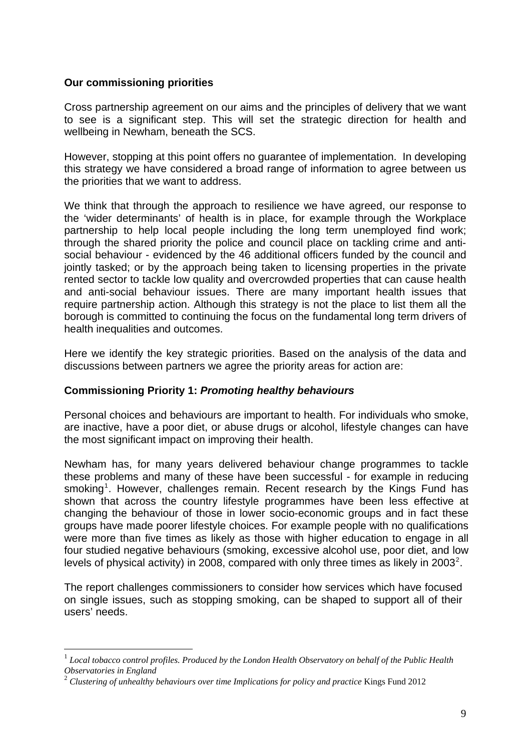#### <span id="page-8-0"></span>**Our commissioning priorities**

1

Cross partnership agreement on our aims and the principles of delivery that we want to see is a significant step. This will set the strategic direction for health and wellbeing in Newham, beneath the SCS.

However, stopping at this point offers no guarantee of implementation. In developing this strategy we have considered a broad range of information to agree between us the priorities that we want to address.

We think that through the approach to resilience we have agreed, our response to the 'wider determinants' of health is in place, for example through the Workplace partnership to help local people including the long term unemployed find work; through the shared priority the police and council place on tackling crime and antisocial behaviour - evidenced by the 46 additional officers funded by the council and jointly tasked; or by the approach being taken to licensing properties in the private rented sector to tackle low quality and overcrowded properties that can cause health and anti-social behaviour issues. There are many important health issues that require partnership action. Although this strategy is not the place to list them all the borough is committed to continuing the focus on the fundamental long term drivers of health inequalities and outcomes.

Here we identify the key strategic priorities. Based on the analysis of the data and discussions between partners we agree the priority areas for action are:

#### **Commissioning Priority 1:** *Promoting healthy behaviours*

Personal choices and behaviours are important to health. For individuals who smoke, are inactive, have a poor diet, or abuse drugs or alcohol, lifestyle changes can have the most significant impact on improving their health.

Newham has, for many years delivered behaviour change programmes to tackle these problems and many of these have been successful - for example in reducing smoking<sup>[1](#page-8-0)</sup>. However, challenges remain. Recent research by the Kings Fund has shown that across the country lifestyle programmes have been less effective at changing the behaviour of those in lower socio-economic groups and in fact these groups have made poorer lifestyle choices. For example people with no qualifications were more than five times as likely as those with higher education to engage in all four studied negative behaviours (smoking, excessive alcohol use, poor diet, and low levels of physical activity) in [2](#page-8-0)008, compared with only three times as likely in 2003<sup>2</sup>.

The report challenges commissioners to consider how services which have focused on single issues, such as stopping smoking, can be shaped to support all of their users' needs.

<sup>1</sup> *Local tobacco control profiles. Produced by the London Health Observatory on behalf of the Public Health Observatories in England*

<sup>2</sup> *Clustering of unhealthy behaviours over time Implications for policy and practice* Kings Fund 2012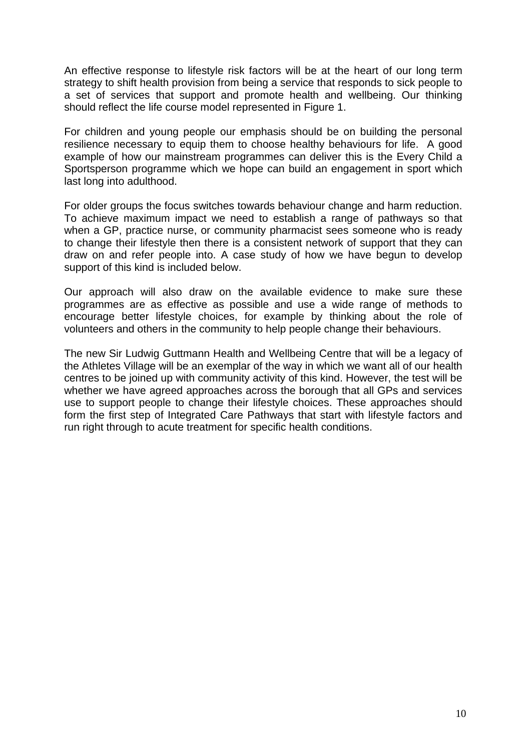An effective response to lifestyle risk factors will be at the heart of our long term strategy to shift health provision from being a service that responds to sick people to a set of services that support and promote health and wellbeing. Our thinking should reflect the life course model represented in Figure 1.

For children and young people our emphasis should be on building the personal resilience necessary to equip them to choose healthy behaviours for life. A good example of how our mainstream programmes can deliver this is the Every Child a Sportsperson programme which we hope can build an engagement in sport which last long into adulthood.

For older groups the focus switches towards behaviour change and harm reduction. To achieve maximum impact we need to establish a range of pathways so that when a GP, practice nurse, or community pharmacist sees someone who is ready to change their lifestyle then there is a consistent network of support that they can draw on and refer people into. A case study of how we have begun to develop support of this kind is included below.

Our approach will also draw on the available evidence to make sure these programmes are as effective as possible and use a wide range of methods to encourage better lifestyle choices, for example by thinking about the role of volunteers and others in the community to help people change their behaviours.

The new Sir Ludwig Guttmann Health and Wellbeing Centre that will be a legacy of the Athletes Village will be an exemplar of the way in which we want all of our health centres to be joined up with community activity of this kind. However, the test will be whether we have agreed approaches across the borough that all GPs and services use to support people to change their lifestyle choices. These approaches should form the first step of Integrated Care Pathways that start with lifestyle factors and run right through to acute treatment for specific health conditions.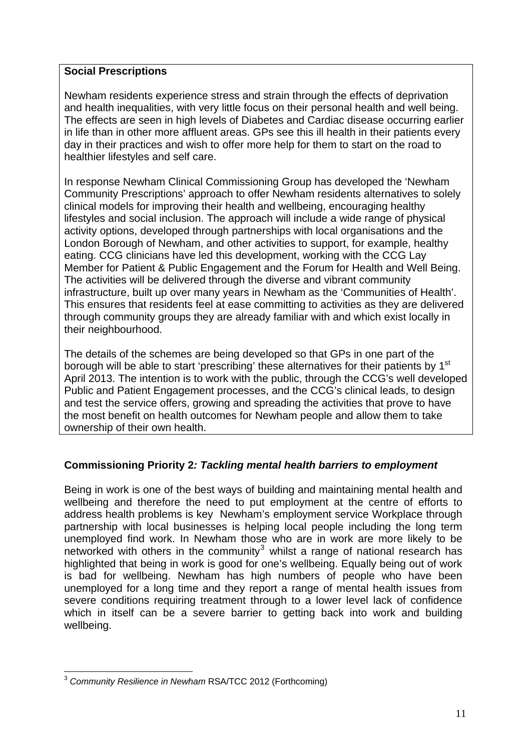## <span id="page-10-0"></span>**Social Prescriptions**

Newham residents experience stress and strain through the effects of deprivation and health inequalities, with very little focus on their personal health and well being. The effects are seen in high levels of Diabetes and Cardiac disease occurring earlier in life than in other more affluent areas. GPs see this ill health in their patients every day in their practices and wish to offer more help for them to start on the road to healthier lifestyles and self care.

In response Newham Clinical Commissioning Group has developed the 'Newham Community Prescriptions' approach to offer Newham residents alternatives to solely clinical models for improving their health and wellbeing, encouraging healthy lifestyles and social inclusion. The approach will include a wide range of physical activity options, developed through partnerships with local organisations and the London Borough of Newham, and other activities to support, for example, healthy eating. CCG clinicians have led this development, working with the CCG Lay Member for Patient & Public Engagement and the Forum for Health and Well Being. The activities will be delivered through the diverse and vibrant community infrastructure, built up over many years in Newham as the 'Communities of Health'. This ensures that residents feel at ease committing to activities as they are delivered through community groups they are already familiar with and which exist locally in their neighbourhood.

The details of the schemes are being developed so that GPs in one part of the borough will be able to start 'prescribing' these alternatives for their patients by 1<sup>st</sup> April 2013. The intention is to work with the public, through the CCG's well developed Public and Patient Engagement processes, and the CCG's clinical leads, to design and test the service offers, growing and spreading the activities that prove to have the most benefit on health outcomes for Newham people and allow them to take ownership of their own health.

# **Commissioning Priority 2***: Tackling mental health barriers to employment*

Being in work is one of the best ways of building and maintaining mental health and wellbeing and therefore the need to put employment at the centre of efforts to address health problems is key Newham's employment service Workplace through partnership with local businesses is helping local people including the long term unemployed find work. In Newham those who are in work are more likely to be networked with others in the community<sup>[3](#page-10-0)</sup> whilst a range of national research has highlighted that being in work is good for one's wellbeing. Equally being out of work is bad for wellbeing. Newham has high numbers of people who have been unemployed for a long time and they report a range of mental health issues from severe conditions requiring treatment through to a lower level lack of confidence which in itself can be a severe barrier to getting back into work and building wellbeing.

<sup>&</sup>lt;u>.</u> <sup>3</sup> *Community Resilience in Newham* RSA/TCC 2012 (Forthcoming)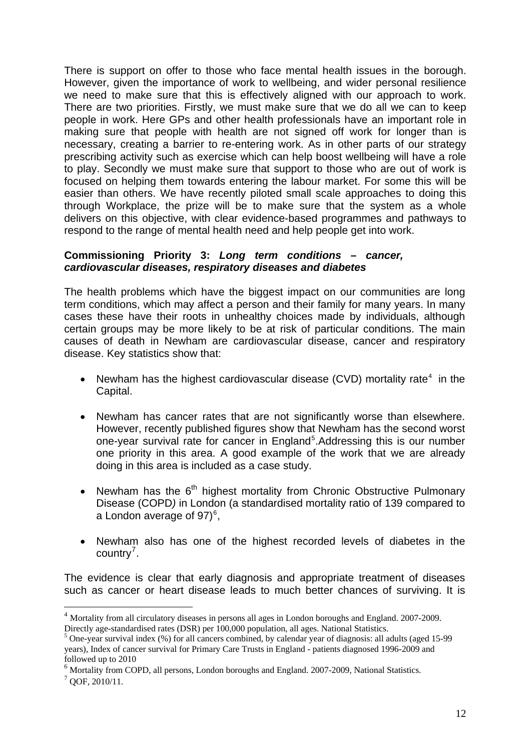<span id="page-11-0"></span>There is support on offer to those who face mental health issues in the borough. However, given the importance of work to wellbeing, and wider personal resilience we need to make sure that this is effectively aligned with our approach to work. There are two priorities. Firstly, we must make sure that we do all we can to keep people in work. Here GPs and other health professionals have an important role in making sure that people with health are not signed off work for longer than is necessary, creating a barrier to re-entering work. As in other parts of our strategy prescribing activity such as exercise which can help boost wellbeing will have a role to play. Secondly we must make sure that support to those who are out of work is focused on helping them towards entering the labour market. For some this will be easier than others. We have recently piloted small scale approaches to doing this through Workplace, the prize will be to make sure that the system as a whole delivers on this objective, with clear evidence-based programmes and pathways to respond to the range of mental health need and help people get into work.

#### **Commissioning Priority 3:** *Long term conditions – cancer, cardiovascular diseases, respiratory diseases and diabetes*

The health problems which have the biggest impact on our communities are long term conditions, which may affect a person and their family for many years. In many cases these have their roots in unhealthy choices made by individuals, although certain groups may be more likely to be at risk of particular conditions. The main causes of death in Newham are cardiovascular disease, cancer and respiratory disease. Key statistics show that:

- Newham has the highest cardiovascular disease (CVD) mortality rate<sup>[4](#page-11-0)</sup> in the Capital.
- Newham has cancer rates that are not significantly worse than elsewhere. However, recently published figures show that Newham has the second worst one-year survival rate for cancer in England<sup>[5](#page-11-0)</sup>. Addressing this is our number one priority in this area. A good example of the work that we are already doing in this area is included as a case study.
- Newham has the  $6<sup>th</sup>$  highest mortality from Chronic Obstructive Pulmonary Disease (COPD*)* in London (a standardised mortality ratio of 139 compared to a London average of 97 $)^6$  $)^6$ ,
- Newham also has one of the highest recorded levels of diabetes in the  $country<sup>7</sup>$  $country<sup>7</sup>$  $country<sup>7</sup>$ .

The evidence is clear that early diagnosis and appropriate treatment of diseases such as cancer or heart disease leads to much better chances of surviving. It is

1

<sup>4</sup> Mortality from all circulatory diseases in persons all ages in London boroughs and England. 2007-2009. Directly age-standardised rates (DSR) per 100,000 population, all ages. National Statistics.

<sup>&</sup>lt;sup>5</sup> One-year survival index (%) for all cancers combined, by calendar year of diagnosis: all adults (aged 15-99) years), Index of cancer survival for Primary Care Trusts in England - patients diagnosed 1996-2009 and followed up to 2010

<sup>&</sup>lt;sup>6</sup> Mortality from COPD, all persons, London boroughs and England. 2007-2009, National Statistics.

 $7$  QOF, 2010/11.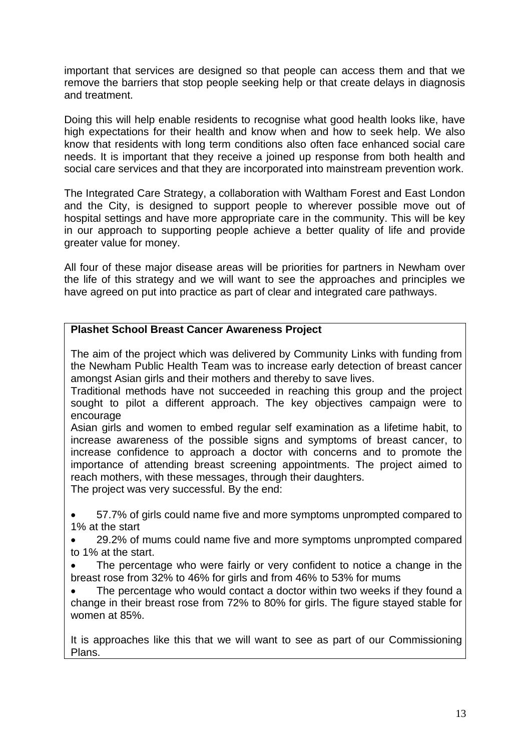important that services are designed so that people can access them and that we remove the barriers that stop people seeking help or that create delays in diagnosis and treatment.

Doing this will help enable residents to recognise what good health looks like, have high expectations for their health and know when and how to seek help. We also know that residents with long term conditions also often face enhanced social care needs. It is important that they receive a joined up response from both health and social care services and that they are incorporated into mainstream prevention work.

The Integrated Care Strategy, a collaboration with Waltham Forest and East London and the City, is designed to support people to wherever possible move out of hospital settings and have more appropriate care in the community. This will be key in our approach to supporting people achieve a better quality of life and provide greater value for money.

All four of these major disease areas will be priorities for partners in Newham over the life of this strategy and we will want to see the approaches and principles we have agreed on put into practice as part of clear and integrated care pathways.

## **Plashet School Breast Cancer Awareness Project**

The aim of the project which was delivered by Community Links with funding from the Newham Public Health Team was to increase early detection of breast cancer amongst Asian girls and their mothers and thereby to save lives.

Traditional methods have not succeeded in reaching this group and the project sought to pilot a different approach. The key objectives campaign were to encourage

Asian girls and women to embed regular self examination as a lifetime habit, to increase awareness of the possible signs and symptoms of breast cancer, to increase confidence to approach a doctor with concerns and to promote the importance of attending breast screening appointments. The project aimed to reach mothers, with these messages, through their daughters.

The project was very successful. By the end:

• 57.7% of girls could name five and more symptoms unprompted compared to 1% at the start

• 29.2% of mums could name five and more symptoms unprompted compared to 1% at the start.

The percentage who were fairly or very confident to notice a change in the breast rose from 32% to 46% for girls and from 46% to 53% for mums

• The percentage who would contact a doctor within two weeks if they found a change in their breast rose from 72% to 80% for girls. The figure stayed stable for women at 85%.

It is approaches like this that we will want to see as part of our Commissioning Plans.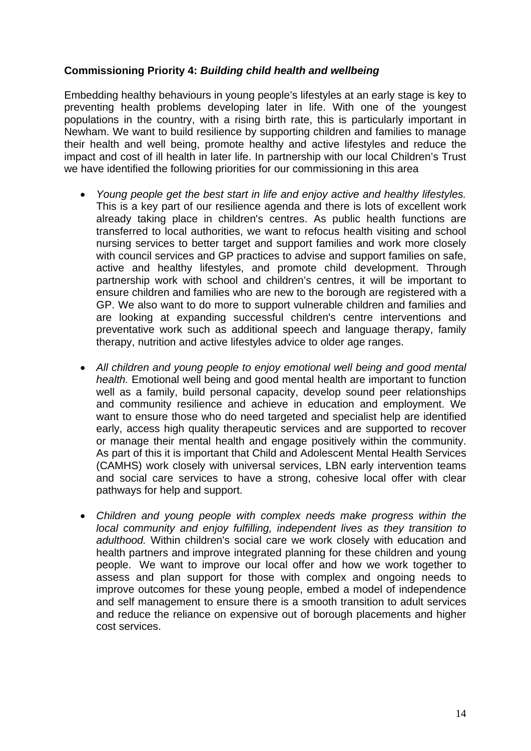## **Commissioning Priority 4:** *Building child health and wellbeing*

Embedding healthy behaviours in young people's lifestyles at an early stage is key to preventing health problems developing later in life. With one of the youngest populations in the country, with a rising birth rate, this is particularly important in Newham. We want to build resilience by supporting children and families to manage their health and well being, promote healthy and active lifestyles and reduce the impact and cost of ill health in later life. In partnership with our local Children's Trust we have identified the following priorities for our commissioning in this area

- *Young people get the best start in life and enjoy active and healthy lifestyles.*  This is a key part of our resilience agenda and there is lots of excellent work already taking place in children's centres. As public health functions are transferred to local authorities, we want to refocus health visiting and school nursing services to better target and support families and work more closely with council services and GP practices to advise and support families on safe, active and healthy lifestyles, and promote child development. Through partnership work with school and children's centres, it will be important to ensure children and families who are new to the borough are registered with a GP. We also want to do more to support vulnerable children and families and are looking at expanding successful children's centre interventions and preventative work such as additional speech and language therapy, family therapy, nutrition and active lifestyles advice to older age ranges.
- *All children and young people to enjoy emotional well being and good mental health.* Emotional well being and good mental health are important to function well as a family, build personal capacity, develop sound peer relationships and community resilience and achieve in education and employment. We want to ensure those who do need targeted and specialist help are identified early, access high quality therapeutic services and are supported to recover or manage their mental health and engage positively within the community. As part of this it is important that Child and Adolescent Mental Health Services (CAMHS) work closely with universal services, LBN early intervention teams and social care services to have a strong, cohesive local offer with clear pathways for help and support.
- *Children and young people with complex needs make progress within the local community and enjoy fulfilling, independent lives as they transition to adulthood.* Within children's social care we work closely with education and health partners and improve integrated planning for these children and young people. We want to improve our local offer and how we work together to assess and plan support for those with complex and ongoing needs to improve outcomes for these young people, embed a model of independence and self management to ensure there is a smooth transition to adult services and reduce the reliance on expensive out of borough placements and higher cost services.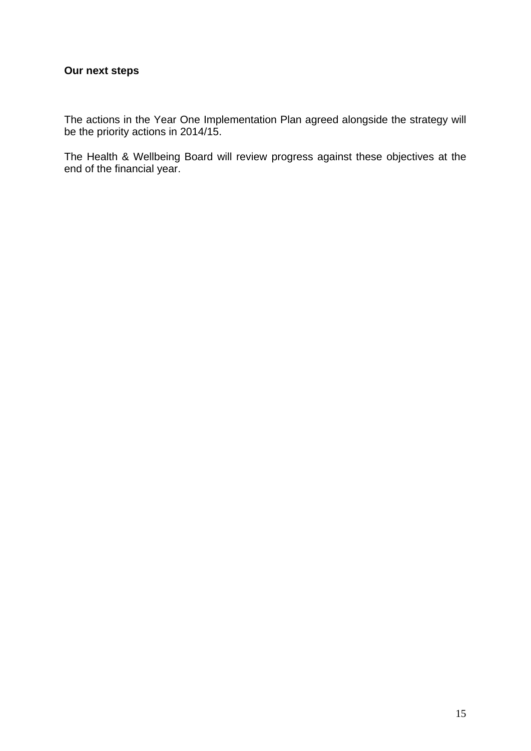# **Our next steps**

The actions in the Year One Implementation Plan agreed alongside the strategy will be the priority actions in 2014/15.

The Health & Wellbeing Board will review progress against these objectives at the end of the financial year.